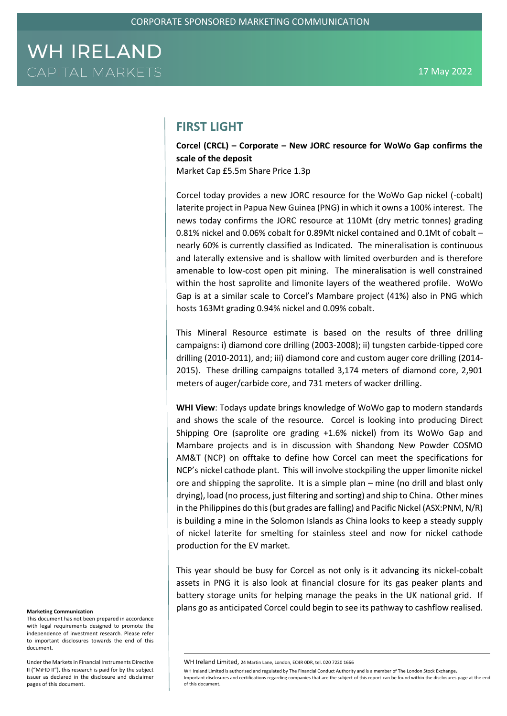### **FIRST LIGHT**

**Corcel (CRCL) – Corporate – New JORC resource for WoWo Gap confirms the scale of the deposit**

Market Cap £5.5m Share Price 1.3p

Corcel today provides a new JORC resource for the WoWo Gap nickel (-cobalt) laterite project in Papua New Guinea (PNG) in which it owns a 100% interest. The news today confirms the JORC resource at 110Mt (dry metric tonnes) grading 0.81% nickel and 0.06% cobalt for 0.89Mt nickel contained and 0.1Mt of cobalt – nearly 60% is currently classified as Indicated. The mineralisation is continuous and laterally extensive and is shallow with limited overburden and is therefore amenable to low-cost open pit mining. The mineralisation is well constrained within the host saprolite and limonite layers of the weathered profile. WoWo Gap is at a similar scale to Corcel's Mambare project (41%) also in PNG which hosts 163Mt grading 0.94% nickel and 0.09% cobalt.

This Mineral Resource estimate is based on the results of three drilling campaigns: i) diamond core drilling (2003-2008); ii) tungsten carbide-tipped core drilling (2010-2011), and; iii) diamond core and custom auger core drilling (2014- 2015). These drilling campaigns totalled 3,174 meters of diamond core, 2,901 meters of auger/carbide core, and 731 meters of wacker drilling.

**WHI View**: Todays update brings knowledge of WoWo gap to modern standards and shows the scale of the resource. Corcel is looking into producing Direct Shipping Ore (saprolite ore grading +1.6% nickel) from its WoWo Gap and Mambare projects and is in discussion with Shandong New Powder COSMO AM&T (NCP) on offtake to define how Corcel can meet the specifications for NCP's nickel cathode plant. This will involve stockpiling the upper limonite nickel ore and shipping the saprolite. It is a simple plan – mine (no drill and blast only drying), load (no process, just filtering and sorting) and ship to China. Other mines in the Philippines do this (but grades are falling) and Pacific Nickel (ASX:PNM, N/R) is building a mine in the Solomon Islands as China looks to keep a steady supply of nickel laterite for smelting for stainless steel and now for nickel cathode production for the EV market.

This year should be busy for Corcel as not only is it advancing its nickel-cobalt assets in PNG it is also look at financial closure for its gas peaker plants and battery storage units for helping manage the peaks in the UK national grid. If Marketing Communication **plans go as anticipated Corcel could begin to see its pathway to cashflow realised.** 

This document has not been prepared in accordance with legal requirements designed to promote the independence of investment research. Please refer to important disclosures towards the end of this document.

Under the Markets in Financial Instruments Directive II ("MiFID II"), this research is paid for by the subject issuer as declared in the disclosure and disclaimer pages of this document.

WH Ireland Limited, 24 Martin Lane, London, EC4R 0DR, tel. 020 7220 1666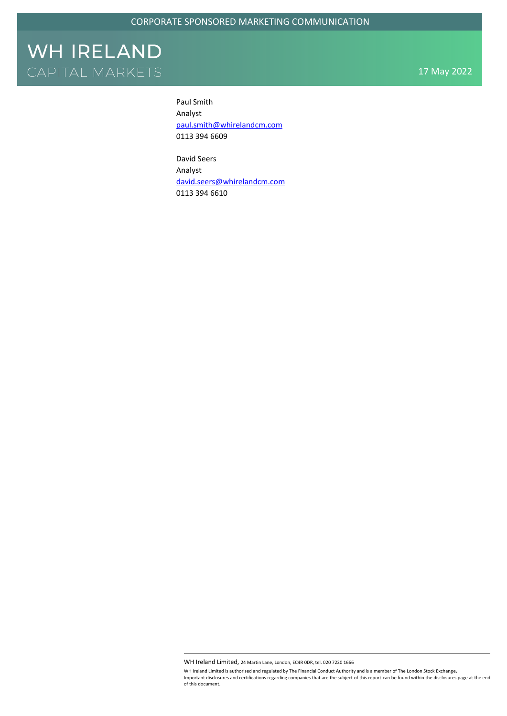17 May 2022

Paul Smith Analyst [paul.smith@whirelandcm.com](mailto:paul.smith@whirelandcm.com) 0113 394 6609

David Seers Analyst [david.seers@whirelandcm.com](mailto:david.seers@whirelandcm.com) 0113 394 6610

WH Ireland Limited, 24 Martin Lane, London, EC4R 0DR, tel. 020 7220 1666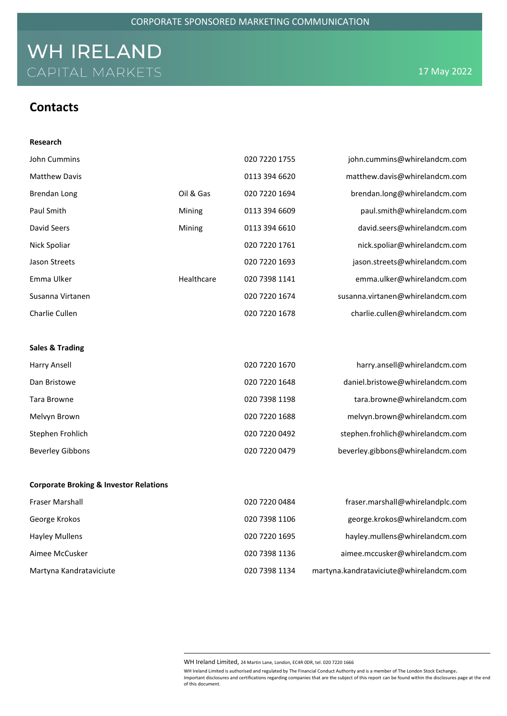### **Contacts**

| Research                                          |            |               |                                  |
|---------------------------------------------------|------------|---------------|----------------------------------|
| John Cummins                                      |            | 020 7220 1755 | john.cummins@whirelandcm.com     |
| <b>Matthew Davis</b>                              |            | 0113 394 6620 | matthew.davis@whirelandcm.com    |
| <b>Brendan Long</b>                               | Oil & Gas  | 020 7220 1694 | brendan.long@whirelandcm.com     |
| Paul Smith                                        | Mining     | 0113 394 6609 | paul.smith@whirelandcm.com       |
| David Seers                                       | Mining     | 0113 394 6610 | david.seers@whirelandcm.com      |
| Nick Spoliar                                      |            | 020 7220 1761 | nick.spoliar@whirelandcm.com     |
| <b>Jason Streets</b>                              |            | 020 7220 1693 | jason.streets@whirelandcm.com    |
| Emma Ulker                                        | Healthcare | 020 7398 1141 | emma.ulker@whirelandcm.com       |
| Susanna Virtanen                                  |            | 020 7220 1674 | susanna.virtanen@whirelandcm.com |
| Charlie Cullen                                    |            | 020 7220 1678 | charlie.cullen@whirelandcm.com   |
|                                                   |            |               |                                  |
| <b>Sales &amp; Trading</b>                        |            |               |                                  |
| <b>Harry Ansell</b>                               |            | 020 7220 1670 | harry.ansell@whirelandcm.com     |
| Dan Bristowe                                      |            | 020 7220 1648 | daniel.bristowe@whirelandcm.com  |
| Tara Browne                                       |            | 020 7398 1198 | tara.browne@whirelandcm.com      |
| Melvyn Brown                                      |            | 020 7220 1688 | melvyn.brown@whirelandcm.com     |
| Stephen Frohlich                                  |            | 020 7220 0492 | stephen.frohlich@whirelandcm.com |
| <b>Beverley Gibbons</b>                           |            | 020 7220 0479 | beverley.gibbons@whirelandcm.com |
|                                                   |            |               |                                  |
| <b>Corporate Broking &amp; Investor Relations</b> |            |               |                                  |
| Fraser Marshall                                   |            | 020 7220 0484 | fraser.marshall@whirelandplc.com |
| George Krokos                                     |            | 020 7398 1106 | george.krokos@whirelandcm.com    |
| <b>Hayley Mullens</b>                             |            | 020 7220 1695 | hayley.mullens@whirelandcm.com   |
| Aimee McCusker                                    |            | 020 7398 1136 | aimee.mccusker@whirelandcm.com   |

Martyna Kandrataviciute 020 7398 1134 martyna.kandrataviciute@whirelandcm.com

WH Ireland Limited, 24 Martin Lane, London, EC4R 0DR, tel. 020 7220 1666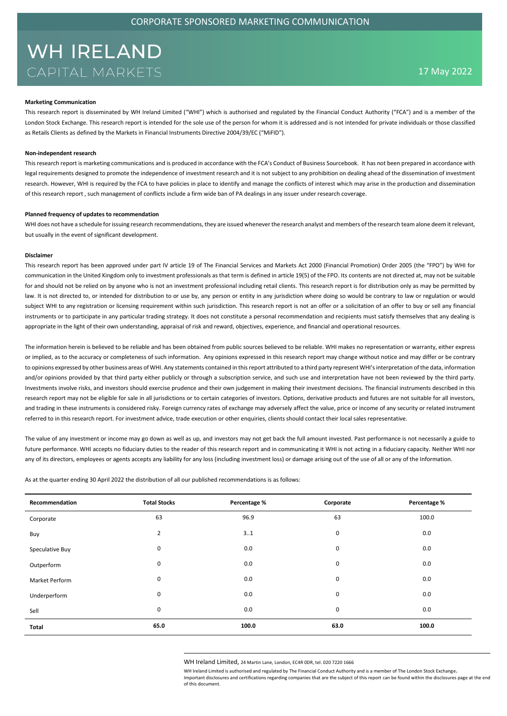#### **Marketing Communication**

This research report is disseminated by WH Ireland Limited ("WHI") which is authorised and regulated by the Financial Conduct Authority ("FCA") and is a member of the London Stock Exchange. This research report is intended for the sole use of the person for whom it is addressed and is not intended for private individuals or those classified as Retails Clients as defined by the Markets in Financial Instruments Directive 2004/39/EC ("MiFID").

#### **Non-independent research**

This research report is marketing communications and is produced in accordance with the FCA's Conduct of Business Sourcebook. It has not been prepared in accordance with legal requirements designed to promote the independence of investment research and it is not subject to any prohibition on dealing ahead of the dissemination of investment research. However, WHI is required by the FCA to have policies in place to identify and manage the conflicts of interest which may arise in the production and dissemination of this research report , such management of conflicts include a firm wide ban of PA dealings in any issuer under research coverage.

#### **Planned frequency of updates to recommendation**

WHI does not have a schedule for issuing research recommendations, they are issued whenever the research analyst and members of the research team alone deem it relevant, but usually in the event of significant development.

#### **Disclaimer**

This research report has been approved under part IV article 19 of The Financial Services and Markets Act 2000 (Financial Promotion) Order 2005 (the "FPO") by WHI for communication in the United Kingdom only to investment professionals as that term is defined in article 19(5) of the FPO. Its contents are not directed at, may not be suitable for and should not be relied on by anyone who is not an investment professional including retail clients. This research report is for distribution only as may be permitted by law. It is not directed to, or intended for distribution to or use by, any person or entity in any jurisdiction where doing so would be contrary to law or regulation or would subject WHI to any registration or licensing requirement within such jurisdiction. This research report is not an offer or a solicitation of an offer to buy or sell any financial instruments or to participate in any particular trading strategy. It does not constitute a personal recommendation and recipients must satisfy themselves that any dealing is appropriate in the light of their own understanding, appraisal of risk and reward, objectives, experience, and financial and operational resources.

The information herein is believed to be reliable and has been obtained from public sources believed to be reliable. WHI makes no representation or warranty, either express or implied, as to the accuracy or completeness of such information. Any opinions expressed in this research report may change without notice and may differ or be contrary to opinions expressed by other business areas of WHI. Any statements contained in this report attributed to a third party represent WHI's interpretation of the data, information and/or opinions provided by that third party either publicly or through a subscription service, and such use and interpretation have not been reviewed by the third party. Investments involve risks, and investors should exercise prudence and their own judgement in making their investment decisions. The financial instruments described in this research report may not be eligible for sale in all jurisdictions or to certain categories of investors. Options, derivative products and futures are not suitable for all investors, and trading in these instruments is considered risky. Foreign currency rates of exchange may adversely affect the value, price or income of any security or related instrument referred to in this research report. For investment advice, trade execution or other enquiries, clients should contact their local sales representative.

The value of any investment or income may go down as well as up, and investors may not get back the full amount invested. Past performance is not necessarily a guide to future performance. WHI accepts no fiduciary duties to the reader of this research report and in communicating it WHI is not acting in a fiduciary capacity. Neither WHI nor any of its directors, employees or agents accepts any liability for any loss (including investment loss) or damage arising out of the use of all or any of the Information.

As at the quarter ending 30 April 2022 the distribution of all our published recommendations is as follows:

| Recommendation        | <b>Total Stocks</b> | Percentage % | Corporate | Percentage % |
|-----------------------|---------------------|--------------|-----------|--------------|
| Corporate             | 63                  | 96.9         | 63        | 100.0        |
| Buy                   | $\overline{2}$      | 31           | 0         | 0.0          |
| Speculative Buy       | 0                   | 0.0          | 0         | 0.0          |
| Outperform            | 0                   | 0.0          | 0         | 0.0          |
| <b>Market Perform</b> | 0                   | 0.0          | 0         | 0.0          |
| Underperform          | 0                   | 0.0          | 0         | 0.0          |
| Sell                  | 0                   | 0.0          | 0         | 0.0          |
| Total                 | 65.0                | 100.0        | 63.0      | 100.0        |

WH Ireland Limited, 24 Martin Lane, London, EC4R 0DR, tel. 020 7220 1666